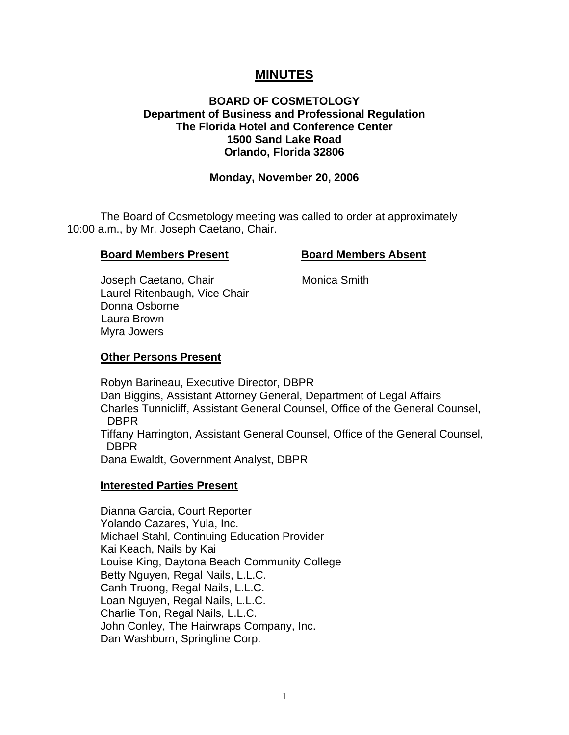# **MINUTES**

#### **BOARD OF COSMETOLOGY Department of Business and Professional Regulation The Florida Hotel and Conference Center 1500 Sand Lake Road Orlando, Florida 32806**

#### **Monday, November 20, 2006**

 The Board of Cosmetology meeting was called to order at approximately 10:00 a.m., by Mr. Joseph Caetano, Chair.

#### **Board Members Present Board Members Absent**

Joseph Caetano, Chair **Monica Smith**  Laurel Ritenbaugh, Vice Chair Donna Osborne Laura Brown Myra Jowers

#### **Other Persons Present**

 Robyn Barineau, Executive Director, DBPR Dan Biggins, Assistant Attorney General, Department of Legal Affairs Charles Tunnicliff, Assistant General Counsel, Office of the General Counsel, DBPR Tiffany Harrington, Assistant General Counsel, Office of the General Counsel, DBPR Dana Ewaldt, Government Analyst, DBPR

#### **Interested Parties Present**

Dianna Garcia, Court Reporter Yolando Cazares, Yula, Inc. Michael Stahl, Continuing Education Provider Kai Keach, Nails by Kai Louise King, Daytona Beach Community College Betty Nguyen, Regal Nails, L.L.C. Canh Truong, Regal Nails, L.L.C. Loan Nguyen, Regal Nails, L.L.C. Charlie Ton, Regal Nails, L.L.C. John Conley, The Hairwraps Company, Inc. Dan Washburn, Springline Corp.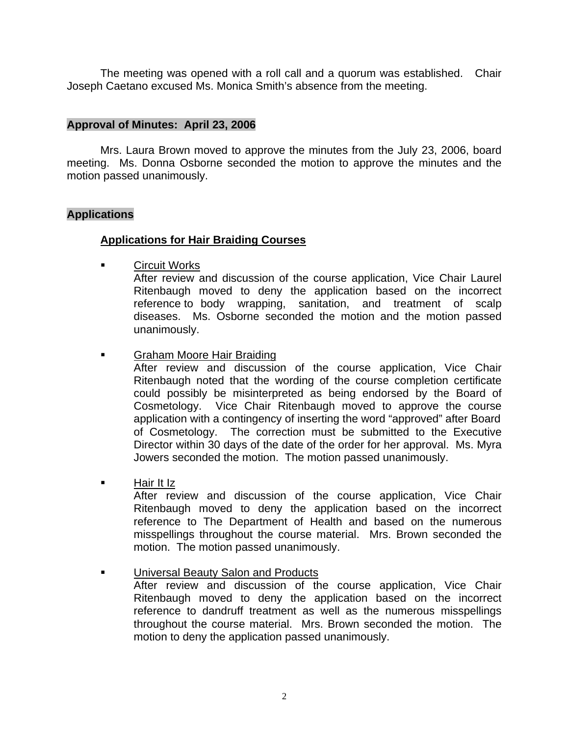The meeting was opened with a roll call and a quorum was established. Chair Joseph Caetano excused Ms. Monica Smith's absence from the meeting.

#### **Approval of Minutes: April 23, 2006**

Mrs. Laura Brown moved to approve the minutes from the July 23, 2006, board meeting. Ms. Donna Osborne seconded the motion to approve the minutes and the motion passed unanimously.

#### **Applications**

## **Applications for Hair Braiding Courses**

**Example 2** Circuit Works

 After review and discussion of the course application, Vice Chair Laurel Ritenbaugh moved to deny the application based on the incorrect reference to body wrapping, sanitation, and treatment of scalp diseases. Ms. Osborne seconded the motion and the motion passed unanimously.

Graham Moore Hair Braiding

 After review and discussion of the course application, Vice Chair Ritenbaugh noted that the wording of the course completion certificate could possibly be misinterpreted as being endorsed by the Board of Cosmetology. Vice Chair Ritenbaugh moved to approve the course application with a contingency of inserting the word "approved" after Board of Cosmetology. The correction must be submitted to the Executive Director within 30 days of the date of the order for her approval. Ms. Myra Jowers seconded the motion. The motion passed unanimously.

Hair It Iz

 After review and discussion of the course application, Vice Chair Ritenbaugh moved to deny the application based on the incorrect reference to The Department of Health and based on the numerous misspellings throughout the course material. Mrs. Brown seconded the motion. The motion passed unanimously.

Universal Beauty Salon and Products

 After review and discussion of the course application, Vice Chair Ritenbaugh moved to deny the application based on the incorrect reference to dandruff treatment as well as the numerous misspellings throughout the course material. Mrs. Brown seconded the motion. The motion to deny the application passed unanimously.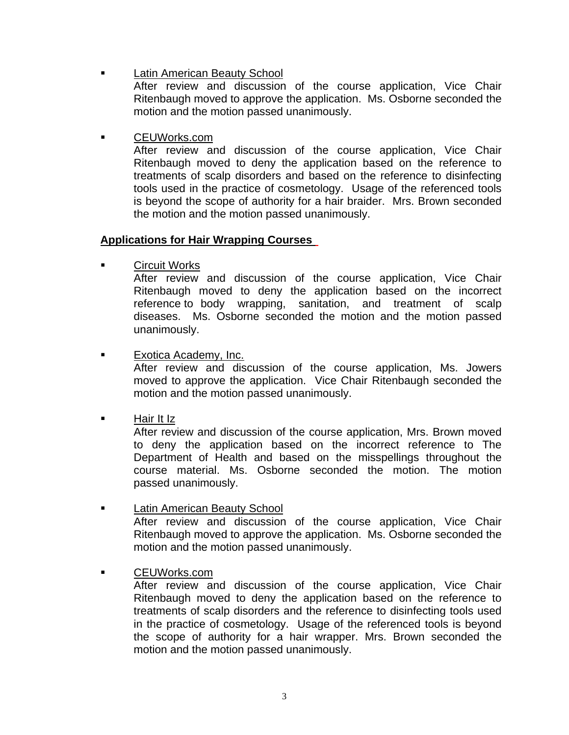Latin American Beauty School

 After review and discussion of the course application, Vice Chair Ritenbaugh moved to approve the application. Ms. Osborne seconded the motion and the motion passed unanimously.

CEUWorks.com

 After review and discussion of the course application, Vice Chair Ritenbaugh moved to deny the application based on the reference to treatments of scalp disorders and based on the reference to disinfecting tools used in the practice of cosmetology. Usage of the referenced tools is beyond the scope of authority for a hair braider. Mrs. Brown seconded the motion and the motion passed unanimously.

## **Applications for Hair Wrapping Courses**

Circuit Works

 After review and discussion of the course application, Vice Chair Ritenbaugh moved to deny the application based on the incorrect reference to body wrapping, sanitation, and treatment of scalp diseases. Ms. Osborne seconded the motion and the motion passed unanimously.

Exotica Academy, Inc.

 After review and discussion of the course application, Ms. Jowers moved to approve the application. Vice Chair Ritenbaugh seconded the motion and the motion passed unanimously.

Hair It Iz

 After review and discussion of the course application, Mrs. Brown moved to deny the application based on the incorrect reference to The Department of Health and based on the misspellings throughout the course material. Ms. Osborne seconded the motion. The motion passed unanimously.

- Latin American Beauty School After review and discussion of the course application, Vice Chair Ritenbaugh moved to approve the application. Ms. Osborne seconded the motion and the motion passed unanimously.
- CEUWorks.com

 After review and discussion of the course application, Vice Chair Ritenbaugh moved to deny the application based on the reference to treatments of scalp disorders and the reference to disinfecting tools used in the practice of cosmetology. Usage of the referenced tools is beyond the scope of authority for a hair wrapper. Mrs. Brown seconded the motion and the motion passed unanimously.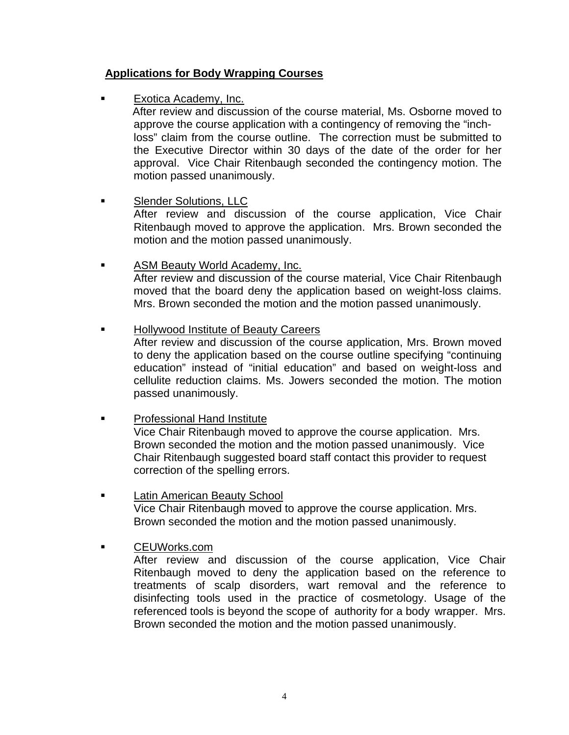# **Applications for Body Wrapping Courses**

Exotica Academy, Inc.

 After review and discussion of the course material, Ms. Osborne moved to approve the course application with a contingency of removing the "inch loss" claim from the course outline. The correction must be submitted to the Executive Director within 30 days of the date of the order for her approval. Vice Chair Ritenbaugh seconded the contingency motion. The motion passed unanimously.

# Slender Solutions, LLC

 After review and discussion of the course application, Vice Chair Ritenbaugh moved to approve the application. Mrs. Brown seconded the motion and the motion passed unanimously.

#### **ASM Beauty World Academy, Inc.**  After review and discussion of the course material, Vice Chair Ritenbaugh moved that the board deny the application based on weight-loss claims. Mrs. Brown seconded the motion and the motion passed unanimously.

Hollywood Institute of Beauty Careers

 After review and discussion of the course application, Mrs. Brown moved to deny the application based on the course outline specifying "continuing education" instead of "initial education" and based on weight-loss and cellulite reduction claims. Ms. Jowers seconded the motion. The motion passed unanimously.

- Professional Hand Institute Vice Chair Ritenbaugh moved to approve the course application. Mrs. Brown seconded the motion and the motion passed unanimously. Vice Chair Ritenbaugh suggested board staff contact this provider to request correction of the spelling errors.
- **Example 21 Example 21 Latin American Beauty School**  Vice Chair Ritenbaugh moved to approve the course application. Mrs. Brown seconded the motion and the motion passed unanimously.
- CEUWorks.com

 After review and discussion of the course application, Vice Chair Ritenbaugh moved to deny the application based on the reference to treatments of scalp disorders, wart removal and the reference to disinfecting tools used in the practice of cosmetology. Usage of the referenced tools is beyond the scope of authority for a body wrapper. Mrs. Brown seconded the motion and the motion passed unanimously.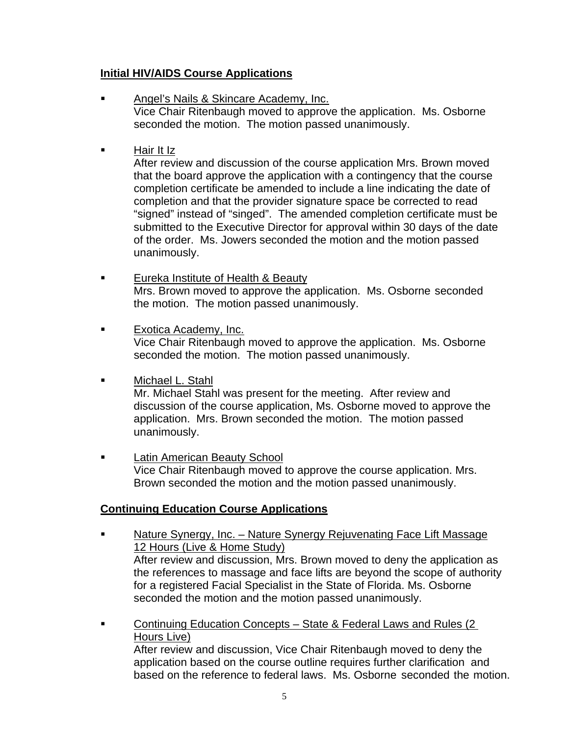# **Initial HIV/AIDS Course Applications**

- Angel's Nails & Skincare Academy, Inc. Vice Chair Ritenbaugh moved to approve the application. Ms. Osborne seconded the motion. The motion passed unanimously.
- Hair It Iz

 After review and discussion of the course application Mrs. Brown moved that the board approve the application with a contingency that the course completion certificate be amended to include a line indicating the date of completion and that the provider signature space be corrected to read "signed" instead of "singed". The amended completion certificate must be submitted to the Executive Director for approval within 30 days of the date of the order. Ms. Jowers seconded the motion and the motion passed unanimously.

- Eureka Institute of Health & Beauty Mrs. Brown moved to approve the application. Ms. Osborne seconded the motion. The motion passed unanimously.
- **Exotica Academy, Inc.**  Vice Chair Ritenbaugh moved to approve the application. Ms. Osborne seconded the motion. The motion passed unanimously.
- **Nichael L. Stahl**

 Mr. Michael Stahl was present for the meeting. After review and discussion of the course application, Ms. Osborne moved to approve the application. Mrs. Brown seconded the motion. The motion passed unanimously.

**Example 21 Example 21 Latin American Beauty School**  Vice Chair Ritenbaugh moved to approve the course application. Mrs. Brown seconded the motion and the motion passed unanimously.

# **Continuing Education Course Applications**

- Nature Synergy, Inc. Nature Synergy Rejuvenating Face Lift Massage 12 Hours (Live & Home Study) After review and discussion, Mrs. Brown moved to deny the application as the references to massage and face lifts are beyond the scope of authority for a registered Facial Specialist in the State of Florida. Ms. Osborne seconded the motion and the motion passed unanimously.
- Continuing Education Concepts State & Federal Laws and Rules (2 Hours Live) After review and discussion, Vice Chair Ritenbaugh moved to deny the application based on the course outline requires further clarification and

based on the reference to federal laws. Ms. Osborne seconded the motion.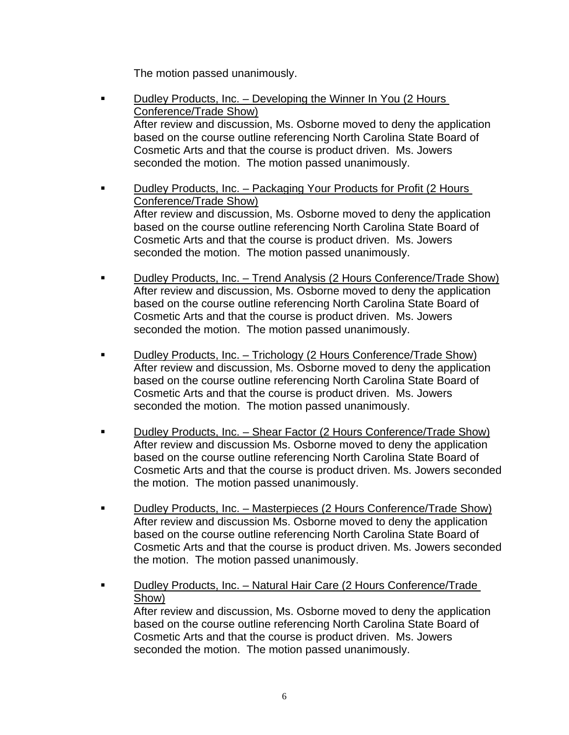The motion passed unanimously.

- **Dudley Products, Inc. Developing the Winner In You (2 Hours**  Conference/Trade Show) After review and discussion, Ms. Osborne moved to deny the application based on the course outline referencing North Carolina State Board of Cosmetic Arts and that the course is product driven. Ms. Jowers seconded the motion. The motion passed unanimously.
- **Dudley Products, Inc. Packaging Your Products for Profit (2 Hours**  Conference/Trade Show) After review and discussion, Ms. Osborne moved to deny the application based on the course outline referencing North Carolina State Board of Cosmetic Arts and that the course is product driven. Ms. Jowers seconded the motion. The motion passed unanimously.
- Dudley Products, Inc. Trend Analysis (2 Hours Conference/Trade Show) After review and discussion, Ms. Osborne moved to deny the application based on the course outline referencing North Carolina State Board of Cosmetic Arts and that the course is product driven. Ms. Jowers seconded the motion. The motion passed unanimously.
- Dudley Products, Inc. Trichology (2 Hours Conference/Trade Show) After review and discussion, Ms. Osborne moved to deny the application based on the course outline referencing North Carolina State Board of Cosmetic Arts and that the course is product driven. Ms. Jowers seconded the motion. The motion passed unanimously.
- Dudley Products, Inc. Shear Factor (2 Hours Conference/Trade Show) After review and discussion Ms. Osborne moved to deny the application based on the course outline referencing North Carolina State Board of Cosmetic Arts and that the course is product driven. Ms. Jowers seconded the motion. The motion passed unanimously.
- **Dudley Products, Inc. Masterpieces (2 Hours Conference/Trade Show)**  After review and discussion Ms. Osborne moved to deny the application based on the course outline referencing North Carolina State Board of Cosmetic Arts and that the course is product driven. Ms. Jowers seconded the motion. The motion passed unanimously.
- Dudley Products, Inc. Natural Hair Care (2 Hours Conference/Trade Show) After review and discussion, Ms. Osborne moved to deny the application based on the course outline referencing North Carolina State Board of Cosmetic Arts and that the course is product driven. Ms. Jowers

seconded the motion. The motion passed unanimously.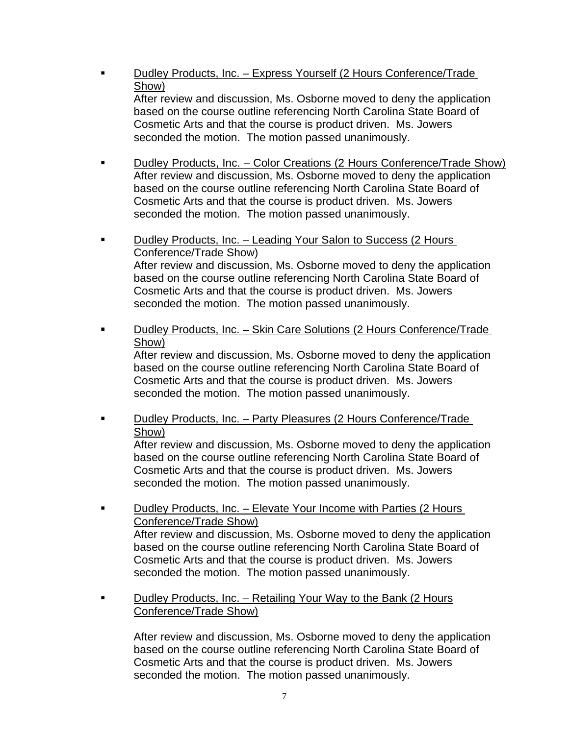- Dudley Products, Inc. Express Yourself (2 Hours Conference/Trade Show) After review and discussion, Ms. Osborne moved to deny the application based on the course outline referencing North Carolina State Board of Cosmetic Arts and that the course is product driven. Ms. Jowers seconded the motion. The motion passed unanimously.
- Dudley Products, Inc. Color Creations (2 Hours Conference/Trade Show) After review and discussion, Ms. Osborne moved to deny the application based on the course outline referencing North Carolina State Board of Cosmetic Arts and that the course is product driven. Ms. Jowers seconded the motion. The motion passed unanimously.
- Dudley Products, Inc. Leading Your Salon to Success (2 Hours Conference/Trade Show) After review and discussion, Ms. Osborne moved to deny the application based on the course outline referencing North Carolina State Board of Cosmetic Arts and that the course is product driven. Ms. Jowers seconded the motion. The motion passed unanimously.
- Dudley Products, Inc. Skin Care Solutions (2 Hours Conference/Trade Show)

 After review and discussion, Ms. Osborne moved to deny the application based on the course outline referencing North Carolina State Board of Cosmetic Arts and that the course is product driven. Ms. Jowers seconded the motion. The motion passed unanimously.

 Dudley Products, Inc. – Party Pleasures (2 Hours Conference/Trade Show)

 After review and discussion, Ms. Osborne moved to deny the application based on the course outline referencing North Carolina State Board of Cosmetic Arts and that the course is product driven. Ms. Jowers seconded the motion. The motion passed unanimously.

- **Dudley Products, Inc. Elevate Your Income with Parties (2 Hours**  Conference/Trade Show) After review and discussion, Ms. Osborne moved to deny the application based on the course outline referencing North Carolina State Board of Cosmetic Arts and that the course is product driven. Ms. Jowers seconded the motion. The motion passed unanimously.
- **Dudley Products, Inc. Retailing Your Way to the Bank (2 Hours** Conference/Trade Show)

 After review and discussion, Ms. Osborne moved to deny the application based on the course outline referencing North Carolina State Board of Cosmetic Arts and that the course is product driven. Ms. Jowers seconded the motion. The motion passed unanimously.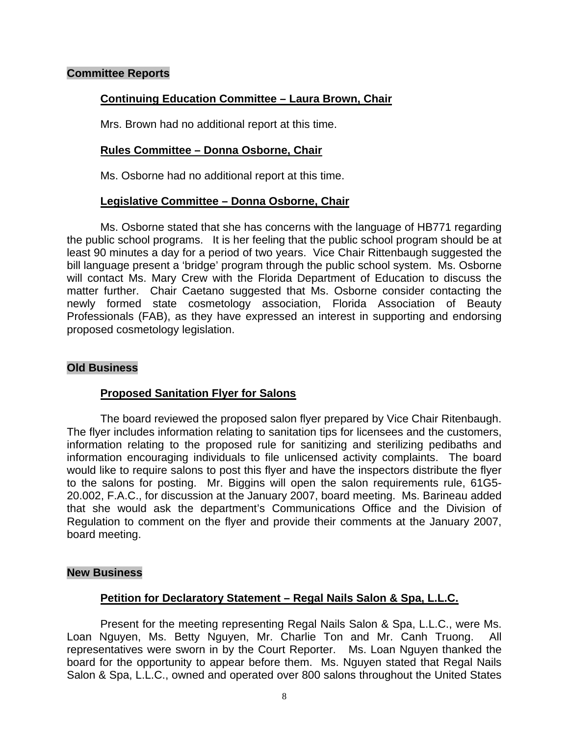#### **Committee Reports**

# **Continuing Education Committee – Laura Brown, Chair**

Mrs. Brown had no additional report at this time.

## **Rules Committee – Donna Osborne, Chair**

Ms. Osborne had no additional report at this time.

## **Legislative Committee – Donna Osborne, Chair**

 Ms. Osborne stated that she has concerns with the language of HB771 regarding the public school programs. It is her feeling that the public school program should be at least 90 minutes a day for a period of two years. Vice Chair Rittenbaugh suggested the bill language present a 'bridge' program through the public school system. Ms. Osborne will contact Ms. Mary Crew with the Florida Department of Education to discuss the matter further. Chair Caetano suggested that Ms. Osborne consider contacting the newly formed state cosmetology association, Florida Association of Beauty Professionals (FAB), as they have expressed an interest in supporting and endorsing proposed cosmetology legislation.

#### **Old Business**

## **Proposed Sanitation Flyer for Salons**

 The board reviewed the proposed salon flyer prepared by Vice Chair Ritenbaugh. The flyer includes information relating to sanitation tips for licensees and the customers, information relating to the proposed rule for sanitizing and sterilizing pedibaths and information encouraging individuals to file unlicensed activity complaints. The board would like to require salons to post this flyer and have the inspectors distribute the flyer to the salons for posting. Mr. Biggins will open the salon requirements rule, 61G5- 20.002, F.A.C., for discussion at the January 2007, board meeting. Ms. Barineau added that she would ask the department's Communications Office and the Division of Regulation to comment on the flyer and provide their comments at the January 2007, board meeting.

#### **New Business**

## **Petition for Declaratory Statement – Regal Nails Salon & Spa, L.L.C.**

 Present for the meeting representing Regal Nails Salon & Spa, L.L.C., were Ms. Loan Nguyen, Ms. Betty Nguyen, Mr. Charlie Ton and Mr. Canh Truong. All representatives were sworn in by the Court Reporter. Ms. Loan Nguyen thanked the board for the opportunity to appear before them. Ms. Nguyen stated that Regal Nails Salon & Spa, L.L.C., owned and operated over 800 salons throughout the United States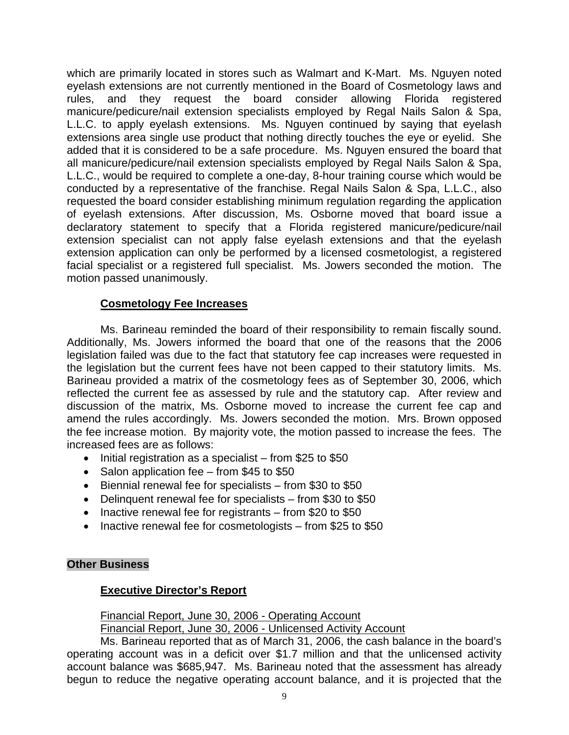which are primarily located in stores such as Walmart and K-Mart. Ms. Nguyen noted eyelash extensions are not currently mentioned in the Board of Cosmetology laws and rules, and they request the board consider allowing Florida registered manicure/pedicure/nail extension specialists employed by Regal Nails Salon & Spa, L.L.C. to apply eyelash extensions. Ms. Nguyen continued by saying that eyelash extensions area single use product that nothing directly touches the eye or eyelid. She added that it is considered to be a safe procedure. Ms. Nguyen ensured the board that all manicure/pedicure/nail extension specialists employed by Regal Nails Salon & Spa, L.L.C., would be required to complete a one-day, 8-hour training course which would be conducted by a representative of the franchise. Regal Nails Salon & Spa, L.L.C., also requested the board consider establishing minimum regulation regarding the application of eyelash extensions. After discussion, Ms. Osborne moved that board issue a declaratory statement to specify that a Florida registered manicure/pedicure/nail extension specialist can not apply false eyelash extensions and that the eyelash extension application can only be performed by a licensed cosmetologist, a registered facial specialist or a registered full specialist. Ms. Jowers seconded the motion. The motion passed unanimously.

## **Cosmetology Fee Increases**

 Ms. Barineau reminded the board of their responsibility to remain fiscally sound. Additionally, Ms. Jowers informed the board that one of the reasons that the 2006 legislation failed was due to the fact that statutory fee cap increases were requested in the legislation but the current fees have not been capped to their statutory limits. Ms. Barineau provided a matrix of the cosmetology fees as of September 30, 2006, which reflected the current fee as assessed by rule and the statutory cap. After review and discussion of the matrix, Ms. Osborne moved to increase the current fee cap and amend the rules accordingly. Ms. Jowers seconded the motion. Mrs. Brown opposed the fee increase motion. By majority vote, the motion passed to increase the fees. The increased fees are as follows:

- Initial registration as a specialist from \$25 to \$50
- Salon application fee from \$45 to \$50
- Biennial renewal fee for specialists from \$30 to \$50
- Delinquent renewal fee for specialists from \$30 to \$50
- Inactive renewal fee for registrants from \$20 to \$50
- Inactive renewal fee for cosmetologists from \$25 to \$50

## **Other Business**

## **Executive Director's Report**

Financial Report, June 30, 2006 - Operating Account

Financial Report, June 30, 2006 - Unlicensed Activity Account

 Ms. Barineau reported that as of March 31, 2006, the cash balance in the board's operating account was in a deficit over \$1.7 million and that the unlicensed activity account balance was \$685,947. Ms. Barineau noted that the assessment has already begun to reduce the negative operating account balance, and it is projected that the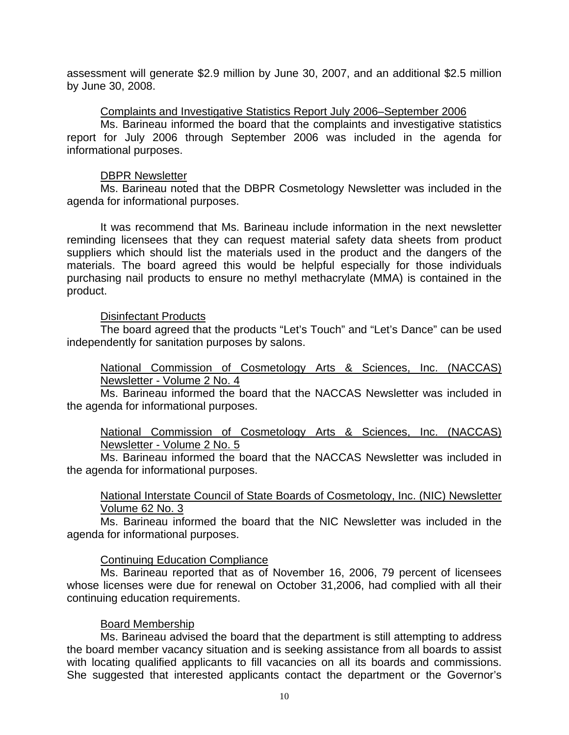assessment will generate \$2.9 million by June 30, 2007, and an additional \$2.5 million by June 30, 2008.

#### Complaints and Investigative Statistics Report July 2006–September 2006

 Ms. Barineau informed the board that the complaints and investigative statistics report for July 2006 through September 2006 was included in the agenda for informational purposes.

#### DBPR Newsletter

 Ms. Barineau noted that the DBPR Cosmetology Newsletter was included in the agenda for informational purposes.

 It was recommend that Ms. Barineau include information in the next newsletter reminding licensees that they can request material safety data sheets from product suppliers which should list the materials used in the product and the dangers of the materials. The board agreed this would be helpful especially for those individuals purchasing nail products to ensure no methyl methacrylate (MMA) is contained in the product.

## Disinfectant Products

 The board agreed that the products "Let's Touch" and "Let's Dance" can be used independently for sanitation purposes by salons.

 National Commission of Cosmetology Arts & Sciences, Inc. (NACCAS) Newsletter - Volume 2 No. 4

 Ms. Barineau informed the board that the NACCAS Newsletter was included in the agenda for informational purposes.

 National Commission of Cosmetology Arts & Sciences, Inc. (NACCAS) Newsletter - Volume 2 No. 5

 Ms. Barineau informed the board that the NACCAS Newsletter was included in the agenda for informational purposes.

 National Interstate Council of State Boards of Cosmetology, Inc. (NIC) Newsletter Volume 62 No. 3

 Ms. Barineau informed the board that the NIC Newsletter was included in the agenda for informational purposes.

## Continuing Education Compliance

 Ms. Barineau reported that as of November 16, 2006, 79 percent of licensees whose licenses were due for renewal on October 31,2006, had complied with all their continuing education requirements.

## Board Membership

 Ms. Barineau advised the board that the department is still attempting to address the board member vacancy situation and is seeking assistance from all boards to assist with locating qualified applicants to fill vacancies on all its boards and commissions. She suggested that interested applicants contact the department or the Governor's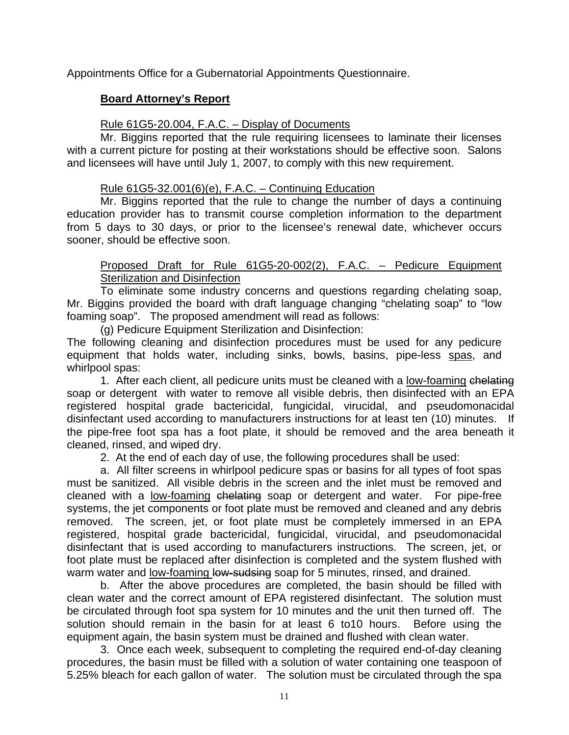Appointments Office for a Gubernatorial Appointments Questionnaire.

# **Board Attorney's Report**

# Rule 61G5-20.004, F.A.C. – Display of Documents

Mr. Biggins reported that the rule requiring licensees to laminate their licenses with a current picture for posting at their workstations should be effective soon. Salons and licensees will have until July 1, 2007, to comply with this new requirement.

# Rule  $61G5-32.001(6)(e)$ , F.A.C. – Continuing Education

Mr. Biggins reported that the rule to change the number of days a continuing education provider has to transmit course completion information to the department from 5 days to 30 days, or prior to the licensee's renewal date, whichever occurs sooner, should be effective soon.

# Proposed Draft for Rule 61G5-20-002(2), F.A.C. – Pedicure Equipment Sterilization and Disinfection

To eliminate some industry concerns and questions regarding chelating soap, Mr. Biggins provided the board with draft language changing "chelating soap" to "low foaming soap". The proposed amendment will read as follows:

(g) Pedicure Equipment Sterilization and Disinfection:

The following cleaning and disinfection procedures must be used for any pedicure equipment that holds water, including sinks, bowls, basins, pipe-less spas, and whirlpool spas:

1. After each client, all pedicure units must be cleaned with a low-foaming chelating soap or detergent with water to remove all visible debris, then disinfected with an EPA registered hospital grade bactericidal, fungicidal, virucidal, and pseudomonacidal disinfectant used according to manufacturers instructions for at least ten (10) minutes. If the pipe-free foot spa has a foot plate, it should be removed and the area beneath it cleaned, rinsed, and wiped dry.

2. At the end of each day of use, the following procedures shall be used:

a. All filter screens in whirlpool pedicure spas or basins for all types of foot spas must be sanitized. All visible debris in the screen and the inlet must be removed and cleaned with a low-foaming chelating soap or detergent and water. For pipe-free systems, the jet components or foot plate must be removed and cleaned and any debris removed. The screen, jet, or foot plate must be completely immersed in an EPA registered, hospital grade bactericidal, fungicidal, virucidal, and pseudomonacidal disinfectant that is used according to manufacturers instructions. The screen, jet, or foot plate must be replaced after disinfection is completed and the system flushed with warm water and low-foaming low-sudsing soap for 5 minutes, rinsed, and drained.

b. After the above procedures are completed, the basin should be filled with clean water and the correct amount of EPA registered disinfectant. The solution must be circulated through foot spa system for 10 minutes and the unit then turned off. The solution should remain in the basin for at least 6 to10 hours. Before using the equipment again, the basin system must be drained and flushed with clean water.

3. Once each week, subsequent to completing the required end-of-day cleaning procedures, the basin must be filled with a solution of water containing one teaspoon of 5.25% bleach for each gallon of water. The solution must be circulated through the spa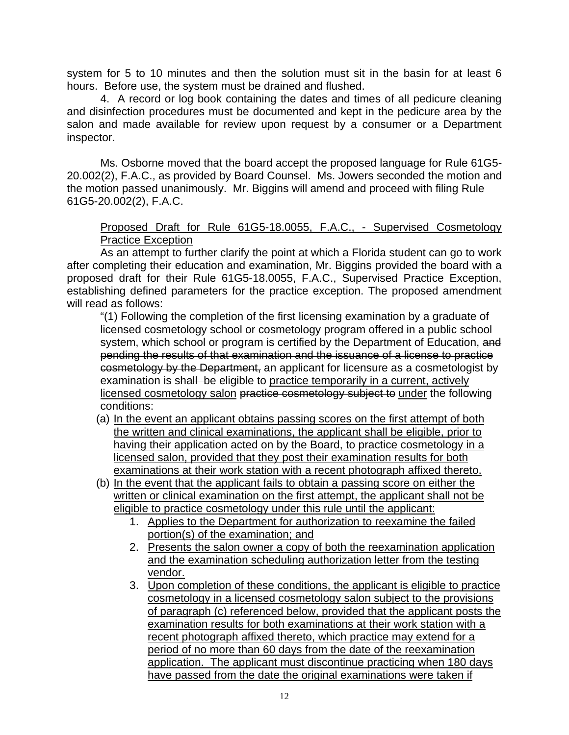system for 5 to 10 minutes and then the solution must sit in the basin for at least 6 hours. Before use, the system must be drained and flushed.

4. A record or log book containing the dates and times of all pedicure cleaning and disinfection procedures must be documented and kept in the pedicure area by the salon and made available for review upon request by a consumer or a Department inspector.

Ms. Osborne moved that the board accept the proposed language for Rule 61G5- 20.002(2), F.A.C., as provided by Board Counsel. Ms. Jowers seconded the motion and the motion passed unanimously. Mr. Biggins will amend and proceed with filing Rule 61G5-20.002(2), F.A.C.

## Proposed Draft for Rule 61G5-18.0055, F.A.C., - Supervised Cosmetology Practice Exception

As an attempt to further clarify the point at which a Florida student can go to work after completing their education and examination, Mr. Biggins provided the board with a proposed draft for their Rule 61G5-18.0055, F.A.C., Supervised Practice Exception, establishing defined parameters for the practice exception. The proposed amendment will read as follows:

"(1) Following the completion of the first licensing examination by a graduate of licensed cosmetology school or cosmetology program offered in a public school system, which school or program is certified by the Department of Education, and pending the results of that examination and the issuance of a license to practice cosmetology by the Department, an applicant for licensure as a cosmetologist by examination is shall be eligible to practice temporarily in a current, actively licensed cosmetology salon practice cosmetology subject to under the following conditions:

- (a) In the event an applicant obtains passing scores on the first attempt of both the written and clinical examinations, the applicant shall be eligible, prior to having their application acted on by the Board, to practice cosmetology in a licensed salon, provided that they post their examination results for both examinations at their work station with a recent photograph affixed thereto.
- (b) In the event that the applicant fails to obtain a passing score on either the written or clinical examination on the first attempt, the applicant shall not be eligible to practice cosmetology under this rule until the applicant:
	- 1. Applies to the Department for authorization to reexamine the failed portion(s) of the examination; and
	- 2. Presents the salon owner a copy of both the reexamination application and the examination scheduling authorization letter from the testing vendor.
	- 3. Upon completion of these conditions, the applicant is eligible to practice cosmetology in a licensed cosmetology salon subject to the provisions of paragraph (c) referenced below, provided that the applicant posts the examination results for both examinations at their work station with a recent photograph affixed thereto, which practice may extend for a period of no more than 60 days from the date of the reexamination application. The applicant must discontinue practicing when 180 days have passed from the date the original examinations were taken if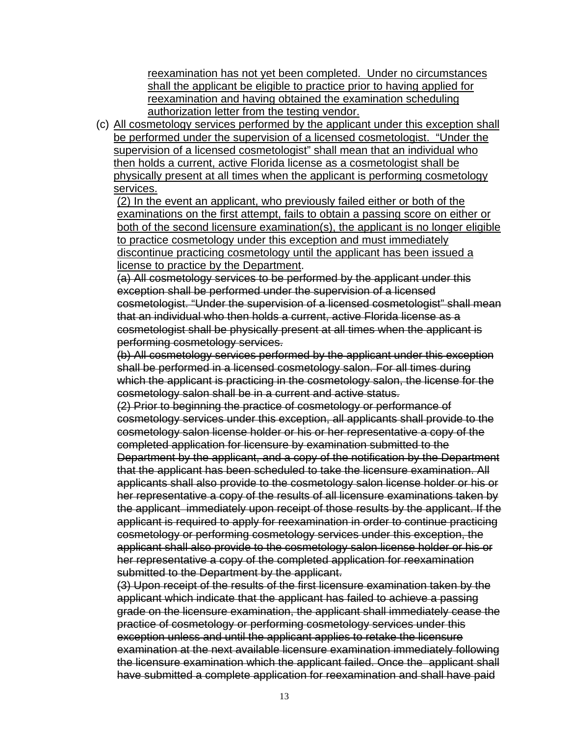reexamination has not yet been completed. Under no circumstances shall the applicant be eligible to practice prior to having applied for reexamination and having obtained the examination scheduling authorization letter from the testing vendor.

(c) All cosmetology services performed by the applicant under this exception shall be performed under the supervision of a licensed cosmetologist. "Under the supervision of a licensed cosmetologist" shall mean that an individual who then holds a current, active Florida license as a cosmetologist shall be physically present at all times when the applicant is performing cosmetology services.

(2) In the event an applicant, who previously failed either or both of the examinations on the first attempt, fails to obtain a passing score on either or both of the second licensure examination(s), the applicant is no longer eligible to practice cosmetology under this exception and must immediately discontinue practicing cosmetology until the applicant has been issued a license to practice by the Department.

(a) All cosmetology services to be performed by the applicant under this exception shall be performed under the supervision of a licensed cosmetologist. "Under the supervision of a licensed cosmetologist" shall mean that an individual who then holds a current, active Florida license as a cosmetologist shall be physically present at all times when the applicant is performing cosmetology services.

(b) All cosmetology services performed by the applicant under this exception shall be performed in a licensed cosmetology salon. For all times during which the applicant is practicing in the cosmetology salon, the license for the cosmetology salon shall be in a current and active status.

(2) Prior to beginning the practice of cosmetology or performance of cosmetology services under this exception, all applicants shall provide to the cosmetology salon license holder or his or her representative a copy of the completed application for licensure by examination submitted to the Department by the applicant, and a copy of the notification by the Department that the applicant has been scheduled to take the licensure examination. All applicants shall also provide to the cosmetology salon license holder or his or her representative a copy of the results of all licensure examinations taken by the applicant immediately upon receipt of those results by the applicant. If the applicant is required to apply for reexamination in order to continue practicing cosmetology or performing cosmetology services under this exception, the applicant shall also provide to the cosmetology salon license holder or his or her representative a copy of the completed application for reexamination submitted to the Department by the applicant.

(3) Upon receipt of the results of the first licensure examination taken by the applicant which indicate that the applicant has failed to achieve a passing grade on the licensure examination, the applicant shall immediately cease the practice of cosmetology or performing cosmetology services under this exception unless and until the applicant applies to retake the licensure examination at the next available licensure examination immediately following the licensure examination which the applicant failed. Once the applicant shall have submitted a complete application for reexamination and shall have paid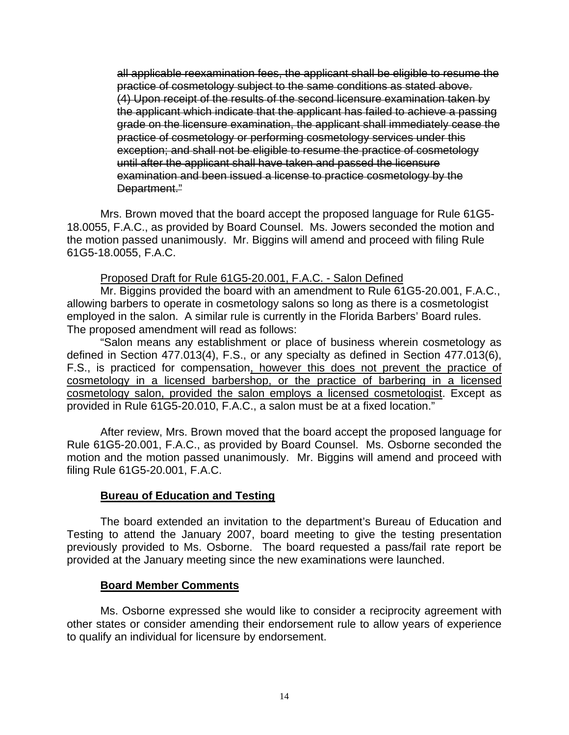all applicable reexamination fees, the applicant shall be eligible to resume the practice of cosmetology subject to the same conditions as stated above. (4) Upon receipt of the results of the second licensure examination taken by the applicant which indicate that the applicant has failed to achieve a passing grade on the licensure examination, the applicant shall immediately cease the practice of cosmetology or performing cosmetology services under this exception; and shall not be eligible to resume the practice of cosmetology until after the applicant shall have taken and passed the licensure examination and been issued a license to practice cosmetology by the Department."

Mrs. Brown moved that the board accept the proposed language for Rule 61G5- 18.0055, F.A.C., as provided by Board Counsel. Ms. Jowers seconded the motion and the motion passed unanimously. Mr. Biggins will amend and proceed with filing Rule 61G5-18.0055, F.A.C.

#### Proposed Draft for Rule 61G5-20.001, F.A.C. - Salon Defined

Mr. Biggins provided the board with an amendment to Rule 61G5-20.001, F.A.C., allowing barbers to operate in cosmetology salons so long as there is a cosmetologist employed in the salon. A similar rule is currently in the Florida Barbers' Board rules. The proposed amendment will read as follows:

 "Salon means any establishment or place of business wherein cosmetology as defined in Section 477.013(4), F.S., or any specialty as defined in Section 477.013(6), F.S., is practiced for compensation, however this does not prevent the practice of cosmetology in a licensed barbershop, or the practice of barbering in a licensed cosmetology salon, provided the salon employs a licensed cosmetologist. Except as provided in Rule 61G5-20.010, F.A.C., a salon must be at a fixed location."

 After review, Mrs. Brown moved that the board accept the proposed language for Rule 61G5-20.001, F.A.C., as provided by Board Counsel. Ms. Osborne seconded the motion and the motion passed unanimously. Mr. Biggins will amend and proceed with filing Rule 61G5-20.001, F.A.C.

## **Bureau of Education and Testing**

 The board extended an invitation to the department's Bureau of Education and Testing to attend the January 2007, board meeting to give the testing presentation previously provided to Ms. Osborne. The board requested a pass/fail rate report be provided at the January meeting since the new examinations were launched.

#### **Board Member Comments**

Ms. Osborne expressed she would like to consider a reciprocity agreement with other states or consider amending their endorsement rule to allow years of experience to qualify an individual for licensure by endorsement.